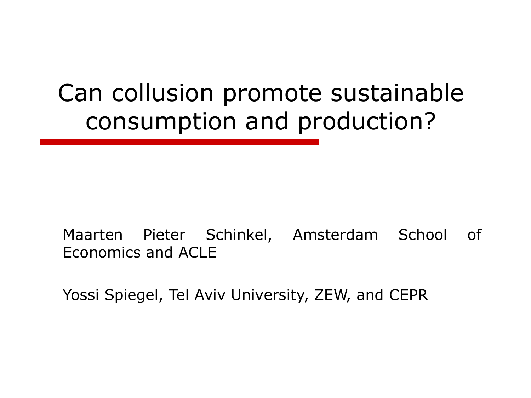#### Can collusion promote sustainable consumption and production?

#### Maarten Pieter Schinkel, Amsterdam School of Economics and ACLE

Yossi Spiegel, Tel Aviv University, ZEW, and CEPR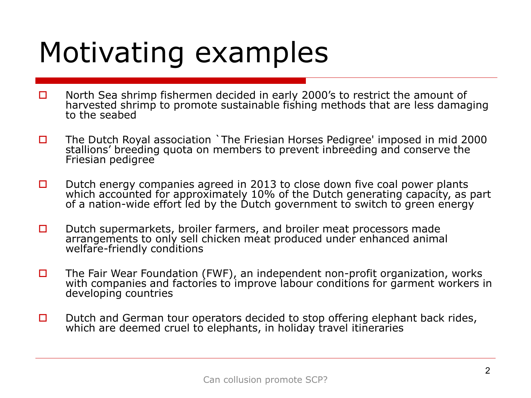# Motivating examples

- $\Box$  North Sea shrimp fishermen decided in early 2000's to restrict the amount of harvested shrimp to promote sustainable fishing methods that are less damaging to the seabed
- $\Box$  The Dutch Royal association `The Friesian Horses Pedigree' imposed in mid 2000 stallions' breeding quota on members to prevent inbreeding and conserve the Friesian pedigree
- D Dutch energy companies agreed in 2013 to close down five coal power plants which accounted for approximately 10% of the Dutch generating capacity, as part of a nation-wide effort led by the Dutch government to switch to green energy
- $\Box$  Dutch supermarkets, broiler farmers, and broiler meat processors made arrangements to only sell chicken meat produced under enhanced animal welfare-friendly conditions
- $\Box$  The Fair Wear Foundation (FWF), an independent non-profit organization, works with companies and factories to improve labour conditions for garment workers in developing countries
- $\square$  Dutch and German tour operators decided to stop offering elephant back rides, which are deemed cruel to elephants, in holiday travel itineraries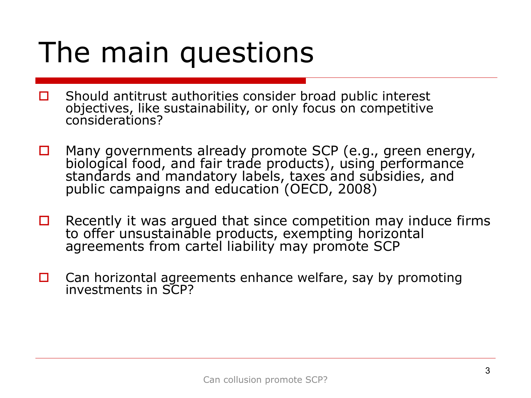# The main questions

- $\Box$  Should antitrust authorities consider broad public interest objectives, like sustainability, or only focus on competitive considerations?
- □ Many governments already promote SCP (e.g., green energy, biological food, and fair trade products), using performance standards and mandatory labels, taxes and subsidies, and public campaigns and education (OECD, 2008)
- $\Box$  Recently it was argued that since competition may induce firms to offer unsustainable products, exempting horizontal agreements from cartel liability may promote SCP
- $\Box$  Can horizontal agreements enhance welfare, say by promoting investments in SCP?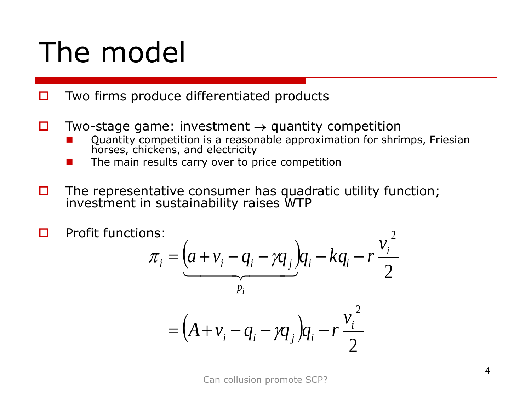## The model

- $\Box$  Two firms produce differentiated products
- $\Box$  Two-stage game: investment  $\rightarrow$  quantity competition
	- **Quantity competition is a reasonable approximation for shrimps, Friesian** horses, chickens, and electricity
	- The main results carry over to price competition
- $\Box$  The representative consumer has quadratic utility function; investment in sustainability raises WTP

$$
\pi_i = \underbrace{(a + v_i - q_i - \gamma q_j)}_{p_i} q_i - kq_i - r \frac{v_i^2}{2}
$$
\n
$$
= (A + v_i - q_i - \gamma q_j) q_i - r \frac{v_i^2}{2}
$$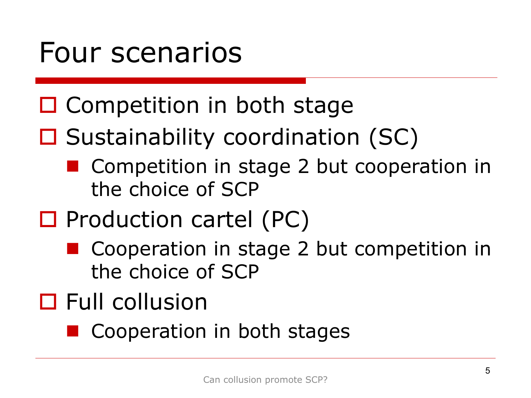#### Four scenarios

#### $\square$  Competition in both stage

#### □ Sustainability coordination (SC)

- Competition in stage 2 but cooperation in the choice of SCP
- $\square$  Production cartel (PC)
	- **Cooperation in stage 2 but competition in** the choice of SCP
- □ Full collusion
	- **Cooperation in both stages**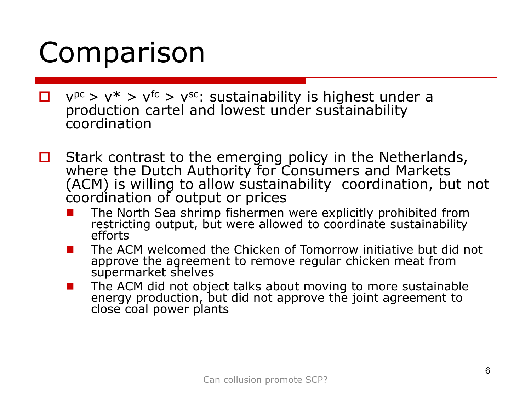## Comparison

- $\Box$  v<sup>pc</sup> > v<sup>\*</sup> > v<sup>fc</sup> > v<sup>sc</sup>: sustainability is highest under a production cartel and lowest under sustainability coordination
- $\Box$  Stark contrast to the emerging policy in the Netherlands, where the Dutch Authority for Consumers and Markets (ACM) is willing to allow sustainability coordination, but not coordination of output or prices
	- The North Sea shrimp fishermen were explicitly prohibited from restricting output, but were allowed to coordinate sustainability efforts
	- The ACM welcomed the Chicken of Tomorrow initiative but did not approve the agreement to remove regular chicken meat from supermarket shelves
	- The ACM did not object talks about moving to more sustainable energy production, but did not approve the joint agreement to close coal power plants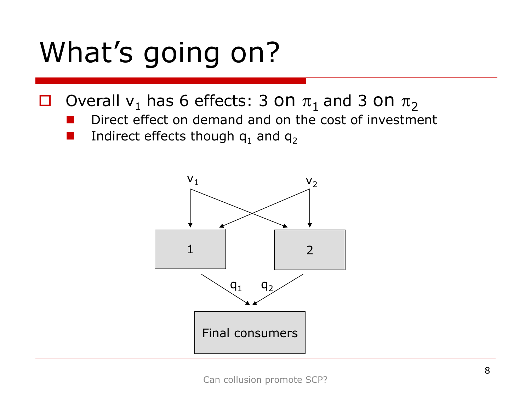- $\Box$  Overall v<sub>1</sub> has 6 effects: 3 on  $\pi_1$  and 3 on  $\pi_2$ 
	- Direct effect on demand and on the cost of investment
	- Indirect effects though  $q_1$  and  $q_2$

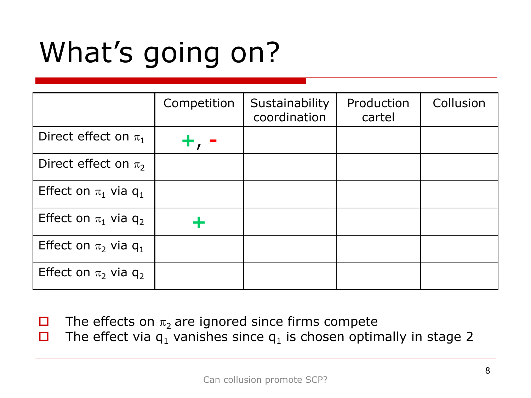|                             | Competition | Sustainability<br>coordination | Production<br>cartel | Collusion |
|-----------------------------|-------------|--------------------------------|----------------------|-----------|
| Direct effect on $\pi_1$    |             |                                |                      |           |
| Direct effect on $\pi_2$    |             |                                |                      |           |
| Effect on $\pi_1$ via $q_1$ |             |                                |                      |           |
| Effect on $\pi_1$ via $q_2$ |             |                                |                      |           |
| Effect on $\pi_2$ via $q_1$ |             |                                |                      |           |
| Effect on $\pi_2$ via $q_2$ |             |                                |                      |           |

- $\Box$  The effects on  $\pi_2$  are ignored since firms compete
- $\Box$  The effect via  $q_1$  vanishes since  $q_1$  is chosen optimally in stage 2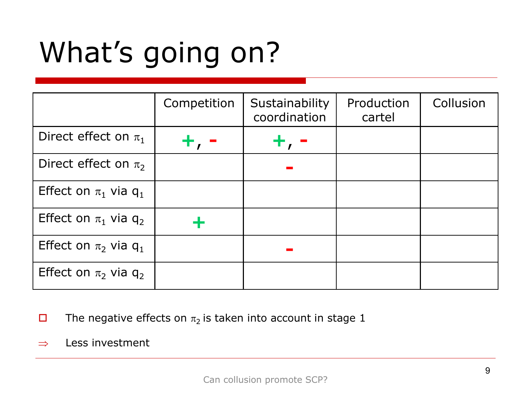|                             | Competition | Sustainability<br>coordination | Production<br>cartel | Collusion |
|-----------------------------|-------------|--------------------------------|----------------------|-----------|
| Direct effect on $\pi_1$    |             |                                |                      |           |
| Direct effect on $\pi_2$    |             |                                |                      |           |
| Effect on $\pi_1$ via $q_1$ |             |                                |                      |           |
| Effect on $\pi_1$ via $q_2$ |             |                                |                      |           |
| Effect on $\pi_2$ via $q_1$ |             |                                |                      |           |
| Effect on $\pi_2$ via $q_2$ |             |                                |                      |           |

- $\Box$  The negative effects on  $\pi_2$  is taken into account in stage 1
- $\Rightarrow$  Less investment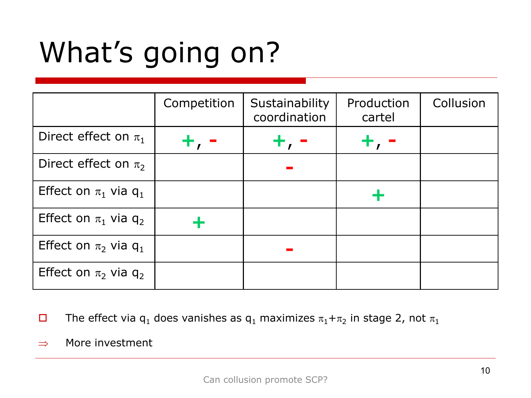|                             | Competition | Sustainability<br>coordination | Production<br>cartel | Collusion |
|-----------------------------|-------------|--------------------------------|----------------------|-----------|
| Direct effect on $\pi_1$    |             |                                |                      |           |
| Direct effect on $\pi_2$    |             |                                |                      |           |
| Effect on $\pi_1$ via $q_1$ |             |                                |                      |           |
| Effect on $\pi_1$ via $q_2$ |             |                                |                      |           |
| Effect on $\pi_2$ via $q_1$ |             |                                |                      |           |
| Effect on $\pi_2$ via $q_2$ |             |                                |                      |           |

- $\Box$  The effect via  $\mathsf{q}_1$  does vanishes as  $\mathsf{q}_1$  maximizes  $\pi_1+\pi_2$  in stage 2, not  $\pi_1$
- $\Rightarrow$  More investment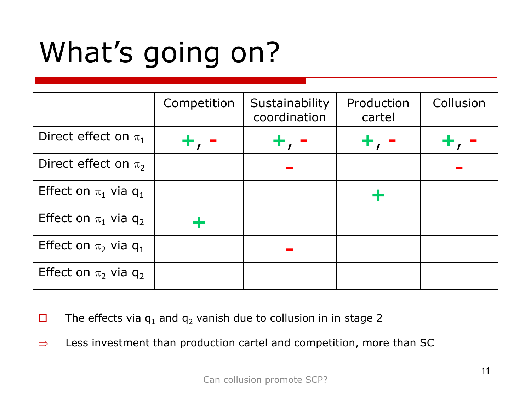|                             | Competition | Sustainability<br>coordination | Production<br>cartel | Collusion |
|-----------------------------|-------------|--------------------------------|----------------------|-----------|
| Direct effect on $\pi_1$    |             |                                |                      |           |
| Direct effect on $\pi_2$    |             |                                |                      |           |
| Effect on $\pi_1$ via $q_1$ |             |                                |                      |           |
| Effect on $\pi_1$ via $q_2$ |             |                                |                      |           |
| Effect on $\pi_2$ via $q_1$ |             |                                |                      |           |
| Effect on $\pi_2$ via $q_2$ |             |                                |                      |           |

- $\Box$  The effects via  $q_1$  and  $q_2$  vanish due to collusion in in stage 2
- $\Rightarrow$  Less investment than production cartel and competition, more than SC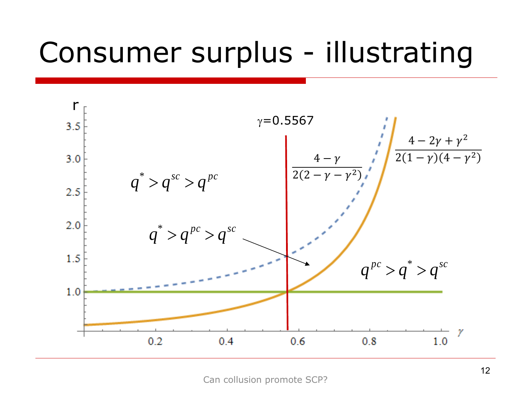## Consumer surplus - illustrating

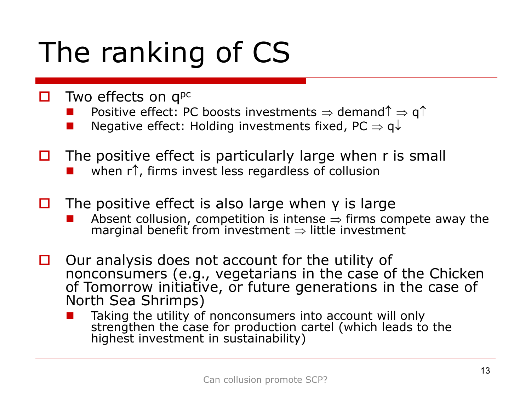# The ranking of CS

- $\Box$  Two effects on  $q^{pc}$ 
	- Positive effect: PC boosts investments  $\Rightarrow$  demand  $\uparrow \Rightarrow q \uparrow$
	- Negative effect: Holding investments fixed, PC  $\Rightarrow$  q $\downarrow$
- $\Box$  The positive effect is particularly large when r is small
	- when  $r \uparrow$ , firms invest less regardless of collusion
- $\Box$  The positive effect is also large when γ is large
	- Absent collusion, competition is intense  $\Rightarrow$  firms compete away the marginal benefit from investment  $\Rightarrow$  little investment
- $\Box$  Our analysis does not account for the utility of nonconsumers (e.g., vegetarians in the case of the Chicken of Tomorrow initiative, or future generations in the case of North Sea Shrimps)
	- Taking the utility of nonconsumers into account will only strengthen the case for production cartel (which leads to the highest investment in sustainability)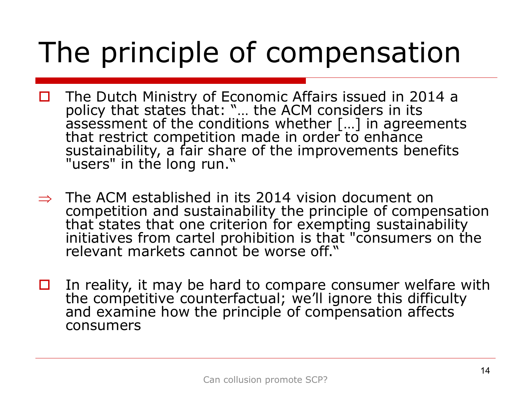# The principle of compensation

- □ The Dutch Ministry of Economic Affairs issued in 2014 a policy that states that: "… the ACM considers in its assessment of the conditions whether [...] in agreements that restrict competition made in order to enhance sustainability, a fair share of the improvements benefits "users" in the long run."
- $\Rightarrow$  The ACM established in its 2014 vision document on competition and sustainability the principle of compensation that states that one criterion for exempting sustainability initiatives from cartel prohibition is that "consumers on the relevant markets cannot be worse off."
- $\Box$  In reality, it may be hard to compare consumer welfare with the competitive counterfactual; we'll ignore this difficulty and examine how the principle of compensation affects consumers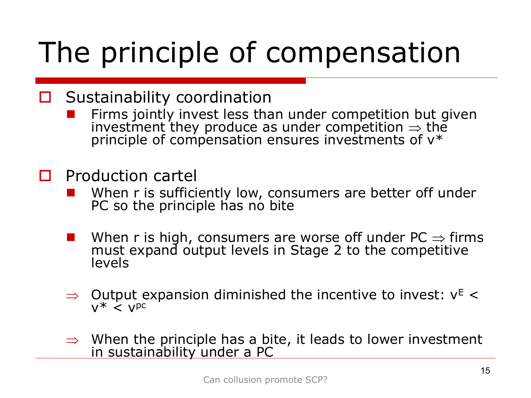# The principle of compensation

#### □ Sustainability coordination

- Firms jointly invest less than under competition but given investment they produce as under competition  $\Rightarrow$  the principle of compensation ensures investments of  $v^*$
- $\Box$  Production cartel
	- When r is sufficiently low, consumers are better off under PC so the principle has no bite
	- When r is high, consumers are worse off under  $PC \Rightarrow$  firms must expand output levels in Stage 2 to the competitive levels
	- $\Rightarrow$  Output expansion diminished the incentive to invest:  $v^E$  <  $v^*$  <  $v^{pc}$
	- $\Rightarrow$  When the principle has a bite, it leads to lower investment in sustainability under a PC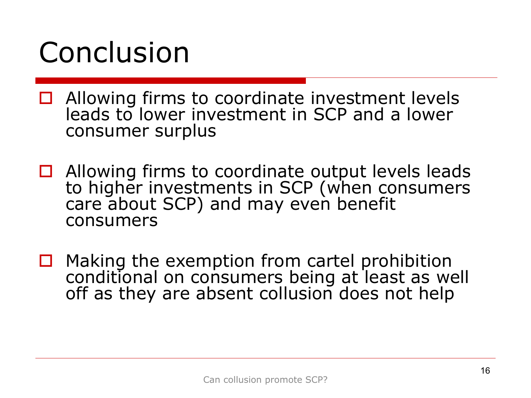## Conclusion

- $\Box$  Allowing firms to coordinate investment levels leads to lower investment in SCP and a lower consumer surplus
- $\Box$  Allowing firms to coordinate output levels leads to higher investments in SCP (when consumers care about SCP) and may even benefit consumers
- $\Box$  Making the exemption from cartel prohibition conditional on consumers being at least as well off as they are absent collusion does not help